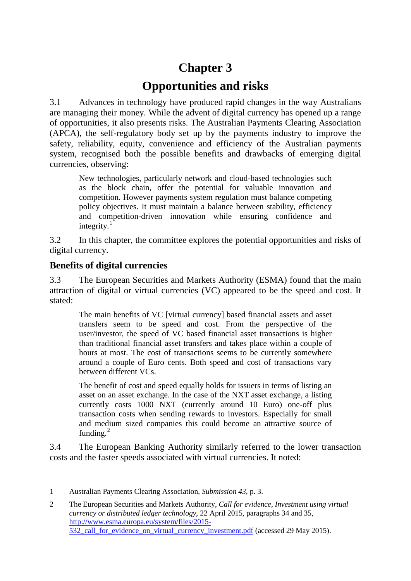# **Chapter 3 Opportunities and risks**

3.1 Advances in technology have produced rapid changes in the way Australians are managing their money. While the advent of digital currency has opened up a range of opportunities, it also presents risks. The Australian Payments Clearing Association (APCA), the self-regulatory body set up by the payments industry to improve the safety, reliability, equity, convenience and efficiency of the Australian payments system, recognised both the possible benefits and drawbacks of emerging digital currencies, observing:

New technologies, particularly network and cloud-based technologies such as the block chain, offer the potential for valuable innovation and competition. However payments system regulation must balance competing policy objectives. It must maintain a balance between stability, efficiency and competition-driven innovation while ensuring confidence and integrity. $1$ 

3.2 In this chapter, the committee explores the potential opportunities and risks of digital currency.

# **Benefits of digital currencies**

-

3.3 The European Securities and Markets Authority (ESMA) found that the main attraction of digital or virtual currencies (VC) appeared to be the speed and cost. It stated:

The main benefits of VC [virtual currency] based financial assets and asset transfers seem to be speed and cost. From the perspective of the user/investor, the speed of VC based financial asset transactions is higher than traditional financial asset transfers and takes place within a couple of hours at most. The cost of transactions seems to be currently somewhere around a couple of Euro cents. Both speed and cost of transactions vary between different VCs.

The benefit of cost and speed equally holds for issuers in terms of listing an asset on an asset exchange. In the case of the NXT asset exchange, a listing currently costs 1000 NXT (currently around 10 Euro) one-off plus transaction costs when sending rewards to investors. Especially for small and medium sized companies this could become an attractive source of funding.<sup>[2](#page-0-1)</sup>

3.4 The European Banking Authority similarly referred to the lower transaction costs and the faster speeds associated with virtual currencies. It noted:

<span id="page-0-0"></span><sup>1</sup> Australian Payments Clearing Association, *Submission 43*, p. 3.

<span id="page-0-1"></span><sup>2</sup> The European Securities and Markets Authority, *Call for evidence, Investment using virtual currency or distributed ledger technology*, 22 April 2015, paragraphs 34 and 35, [http://www.esma.europa.eu/system/files/2015-](http://www.esma.europa.eu/system/files/2015-532_call_for_evidence_on_virtual_currency_investment.pdf) [532\\_call\\_for\\_evidence\\_on\\_virtual\\_currency\\_investment.pdf](http://www.esma.europa.eu/system/files/2015-532_call_for_evidence_on_virtual_currency_investment.pdf) (accessed 29 May 2015).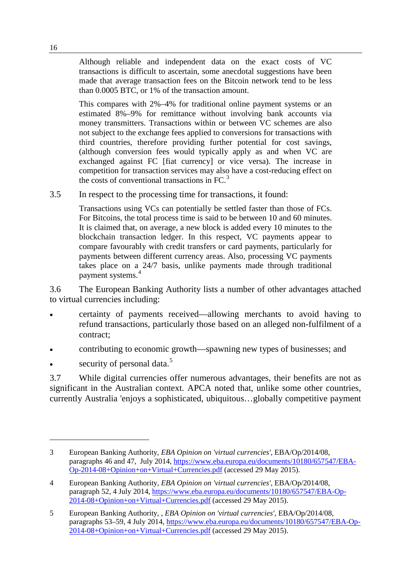Although reliable and independent data on the exact costs of VC transactions is difficult to ascertain, some anecdotal suggestions have been made that average transaction fees on the Bitcoin network tend to be less than 0.0005 BTC, or 1% of the transaction amount.

This compares with 2%–4% for traditional online payment systems or an estimated 8%–9% for remittance without involving bank accounts via money transmitters. Transactions within or between VC schemes are also not subject to the exchange fees applied to conversions for transactions with third countries, therefore providing further potential for cost savings, (although conversion fees would typically apply as and when VC are exchanged against FC [fiat currency] or vice versa). The increase in competition for transaction services may also have a cost-reducing effect on the costs of conventional transactions in  $FC<sup>3</sup>$  $FC<sup>3</sup>$  $FC<sup>3</sup>$ 

3.5 In respect to the processing time for transactions, it found:

Transactions using VCs can potentially be settled faster than those of FCs. For Bitcoins, the total process time is said to be between 10 and 60 minutes. It is claimed that, on average, a new block is added every 10 minutes to the blockchain transaction ledger. In this respect, VC payments appear to compare favourably with credit transfers or card payments, particularly for payments between different currency areas. Also, processing VC payments takes place on a 24/7 basis, unlike payments made through traditional payment systems.<sup>[4](#page-1-1)</sup>

3.6 The European Banking Authority lists a number of other advantages attached to virtual currencies including:

- certainty of payments received—allowing merchants to avoid having to refund transactions, particularly those based on an alleged non-fulfilment of a contract;
- contributing to economic growth—spawning new types of businesses; and
- security of personal data.<sup>[5](#page-1-2)</sup>

-

3.7 While digital currencies offer numerous advantages, their benefits are not as significant in the Australian context. APCA noted that, unlike some other countries, currently Australia 'enjoys a sophisticated, ubiquitous…globally competitive payment

<span id="page-1-0"></span><sup>3</sup> European Banking Authority, *EBA Opinion on 'virtual currencies'*, EBA/Op/2014/08, paragraphs 46 and 47, July 2014, [https://www.eba.europa.eu/documents/10180/657547/EBA-](https://www.eba.europa.eu/documents/10180/657547/EBA-Op-2014-08+Opinion+on+Virtual+Currencies.pdf)[Op-2014-08+Opinion+on+Virtual+Currencies.pdf](https://www.eba.europa.eu/documents/10180/657547/EBA-Op-2014-08+Opinion+on+Virtual+Currencies.pdf) (accessed 29 May 2015).

<span id="page-1-1"></span><sup>4</sup> European Banking Authority, *EBA Opinion on 'virtual currencies'*, EBA/Op/2014/08, paragraph 52, 4 July 2014, [https://www.eba.europa.eu/documents/10180/657547/EBA-Op-](https://www.eba.europa.eu/documents/10180/657547/EBA-Op-2014-08+Opinion+on+Virtual+Currencies.pdf)[2014-08+Opinion+on+Virtual+Currencies.pdf](https://www.eba.europa.eu/documents/10180/657547/EBA-Op-2014-08+Opinion+on+Virtual+Currencies.pdf) (accessed 29 May 2015).

<span id="page-1-2"></span><sup>5</sup> European Banking Authority, , *EBA Opinion on 'virtual currencies'*, EBA/Op/2014/08, paragraphs 53–59, 4 July 2014, [https://www.eba.europa.eu/documents/10180/657547/EBA-Op-](https://www.eba.europa.eu/documents/10180/657547/EBA-Op-2014-08+Opinion+on+Virtual+Currencies.pdf)[2014-08+Opinion+on+Virtual+Currencies.pdf](https://www.eba.europa.eu/documents/10180/657547/EBA-Op-2014-08+Opinion+on+Virtual+Currencies.pdf) (accessed 29 May 2015).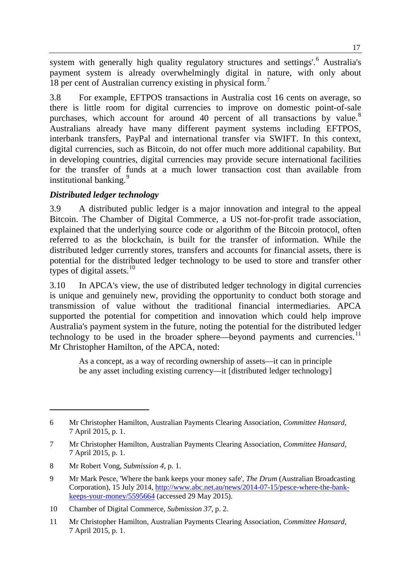system with generally high quality regulatory structures and settings'.<sup>[6](#page-2-0)</sup> Australia's payment system is already overwhelmingly digital in nature, with only about 18 per cent of Australian currency existing in physical form.<sup>[7](#page-2-1)</sup>

3.8 For example, EFTPOS transactions in Australia cost 16 cents on average, so there is little room for digital currencies to improve on domestic point-of-sale purchases, which account for around 40 percent of all transactions by value.<sup>[8](#page-2-2)</sup> Australians already have many different payment systems including EFTPOS, interbank transfers, PayPal and international transfer via SWIFT. In this context, digital currencies, such as Bitcoin, do not offer much more additional capability. But in developing countries, digital currencies may provide secure international facilities for the transfer of funds at a much lower transaction cost than available from institutional banking.<sup>[9](#page-2-3)</sup>

## *Distributed ledger technology*

3.9 A distributed public ledger is a major innovation and integral to the appeal Bitcoin. The Chamber of Digital Commerce, a US not-for-profit trade association, explained that the underlying source code or algorithm of the Bitcoin protocol, often referred to as the blockchain, is built for the transfer of information. While the distributed ledger currently stores, transfers and accounts for financial assets, there is potential for the distributed ledger technology to be used to store and transfer other types of digital assets. $10$ 

3.10 In APCA's view, the use of distributed ledger technology in digital currencies is unique and genuinely new, providing the opportunity to conduct both storage and transmission of value without the traditional financial intermediaries. APCA supported the potential for competition and innovation which could help improve Australia's payment system in the future, noting the potential for the distributed ledger technology to be used in the broader sphere—beyond payments and currencies. $11$ Mr Christopher Hamilton, of the APCA, noted:

As a concept, as a way of recording ownership of assets—it can in principle be any asset including existing currency—it [distributed ledger technology]

-

<span id="page-2-0"></span><sup>6</sup> Mr Christopher Hamilton, Australian Payments Clearing Association, *Committee Hansard*, 7 April 2015, p. 1.

<span id="page-2-1"></span><sup>7</sup> Mr Christopher Hamilton, Australian Payments Clearing Association, *Committee Hansard*, 7 April 2015, p. 1.

<span id="page-2-2"></span><sup>8</sup> Mr Robert Vong, *Submission 4*, p. 1.

<span id="page-2-3"></span><sup>9</sup> Mr Mark Pesce, 'Where the bank keeps your money safe', *The Drum* (Australian Broadcasting Corporation), 15 July 2014, [http://www.abc.net.au/news/2014-07-15/pesce-where-the-bank](http://www.abc.net.au/news/2014-07-15/pesce-where-the-bank-keeps-your-money/5595664)[keeps-your-money/5595664](http://www.abc.net.au/news/2014-07-15/pesce-where-the-bank-keeps-your-money/5595664) (accessed 29 May 2015).

<span id="page-2-4"></span><sup>10</sup> Chamber of Digital Commerce, *Submission 37*, p. 2.

<span id="page-2-5"></span><sup>11</sup> Mr Christopher Hamilton, Australian Payments Clearing Association, *Committee Hansard*, 7 April 2015, p. 1.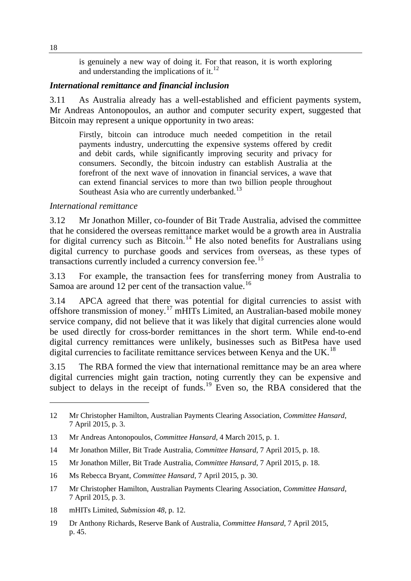is genuinely a new way of doing it. For that reason, it is worth exploring and understanding the implications of it. $^{12}$  $^{12}$  $^{12}$ 

#### *International remittance and financial inclusion*

3.11 As Australia already has a well-established and efficient payments system, Mr Andreas Antonopoulos, an author and computer security expert, suggested that Bitcoin may represent a unique opportunity in two areas:

Firstly, bitcoin can introduce much needed competition in the retail payments industry, undercutting the expensive systems offered by credit and debit cards, while significantly improving security and privacy for consumers. Secondly, the bitcoin industry can establish Australia at the forefront of the next wave of innovation in financial services, a wave that can extend financial services to more than two billion people throughout Southeast Asia who are currently underbanked.<sup>[13](#page-3-1)</sup>

#### *International remittance*

3.12 Mr Jonathon Miller, co-founder of Bit Trade Australia, advised the committee that he considered the overseas remittance market would be a growth area in Australia for digital currency such as Bitcoin.<sup>[14](#page-3-2)</sup> He also noted benefits for Australians using digital currency to purchase goods and services from overseas, as these types of transactions currently included a currency conversion fee.<sup>[15](#page-3-3)</sup>

3.13 For example, the transaction fees for transferring money from Australia to Samoa are around 12 per cent of the transaction value.<sup>[16](#page-3-4)</sup>

3.14 APCA agreed that there was potential for digital currencies to assist with offshore transmission of money.[17](#page-3-5) mHITs Limited, an Australian-based mobile money service company, did not believe that it was likely that digital currencies alone would be used directly for cross-border remittances in the short term. While end-to-end digital currency remittances were unlikely, businesses such as BitPesa have used digital currencies to facilitate remittance services between Kenya and the UK.<sup>[18](#page-3-6)</sup>

3.15 The RBA formed the view that international remittance may be an area where digital currencies might gain traction, noting currently they can be expensive and subject to delays in the receipt of funds.<sup>[19](#page-3-7)</sup> Even so, the RBA considered that the

<span id="page-3-6"></span>18 mHITs Limited, *Submission 48*, p. 12.

-

<span id="page-3-0"></span><sup>12</sup> Mr Christopher Hamilton, Australian Payments Clearing Association, *Committee Hansard*, 7 April 2015, p. 3.

<span id="page-3-1"></span><sup>13</sup> Mr Andreas Antonopoulos, *Committee Hansard*, 4 March 2015, p. 1.

<span id="page-3-2"></span><sup>14</sup> Mr Jonathon Miller, Bit Trade Australia, *Committee Hansard*, 7 April 2015, p. 18.

<span id="page-3-3"></span><sup>15</sup> Mr Jonathon Miller, Bit Trade Australia, *Committee Hansard*, 7 April 2015, p. 18.

<span id="page-3-4"></span><sup>16</sup> Ms Rebecca Bryant, *Committee Hansard*, 7 April 2015, p. 30.

<span id="page-3-5"></span><sup>17</sup> Mr Christopher Hamilton, Australian Payments Clearing Association, *Committee Hansard*, 7 April 2015, p. 3.

<span id="page-3-7"></span><sup>19</sup> Dr Anthony Richards, Reserve Bank of Australia, *Committee Hansard*, 7 April 2015, p. 45.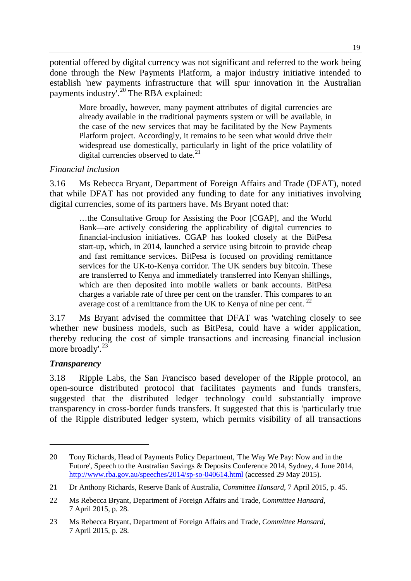potential offered by digital currency was not significant and referred to the work being done through the New Payments Platform, a major industry initiative intended to establish 'new payments infrastructure that will spur innovation in the Australian payments industry'.<sup>[20](#page-4-0)</sup> The RBA explained:

More broadly, however, many payment attributes of digital currencies are already available in the traditional payments system or will be available, in the case of the new services that may be facilitated by the New Payments Platform project. Accordingly, it remains to be seen what would drive their widespread use domestically, particularly in light of the price volatility of digital currencies observed to date. $21$ 

## *Financial inclusion*

3.16 Ms Rebecca Bryant, Department of Foreign Affairs and Trade (DFAT), noted that while DFAT has not provided any funding to date for any initiatives involving digital currencies, some of its partners have. Ms Bryant noted that:

…the Consultative Group for Assisting the Poor [CGAP], and the World Bank—are actively considering the applicability of digital currencies to financial-inclusion initiatives. CGAP has looked closely at the BitPesa start-up, which, in 2014, launched a service using bitcoin to provide cheap and fast remittance services. BitPesa is focused on providing remittance services for the UK-to-Kenya corridor. The UK senders buy bitcoin. These are transferred to Kenya and immediately transferred into Kenyan shillings, which are then deposited into mobile wallets or bank accounts. BitPesa charges a variable rate of three per cent on the transfer. This compares to an average cost of a remittance from the UK to Kenya of nine per cent.<sup>[22](#page-4-2)</sup>

3.17 Ms Bryant advised the committee that DFAT was 'watching closely to see whether new business models, such as BitPesa, could have a wider application, thereby reducing the cost of simple transactions and increasing financial inclusion more broadly'. [23](#page-4-3)

# *Transparency*

-

3.18 Ripple Labs, the San Francisco based developer of the Ripple protocol, an open-source distributed protocol that facilitates payments and funds transfers, suggested that the distributed ledger technology could substantially improve transparency in cross-border funds transfers. It suggested that this is 'particularly true of the Ripple distributed ledger system, which permits visibility of all transactions

<span id="page-4-0"></span><sup>20</sup> Tony Richards, Head of Payments Policy Department, 'The Way We Pay: Now and in the Future', Speech to the Australian Savings & Deposits Conference 2014, Sydney, 4 June 2014, <http://www.rba.gov.au/speeches/2014/sp-so-040614.html> (accessed 29 May 2015).

<span id="page-4-1"></span><sup>21</sup> Dr Anthony Richards, Reserve Bank of Australia, *Committee Hansard*, 7 April 2015, p. 45.

<span id="page-4-2"></span><sup>22</sup> Ms Rebecca Bryant, Department of Foreign Affairs and Trade, *Committee Hansard*, 7 April 2015, p. 28.

<span id="page-4-3"></span><sup>23</sup> Ms Rebecca Bryant, Department of Foreign Affairs and Trade, *Committee Hansard*, 7 April 2015, p. 28.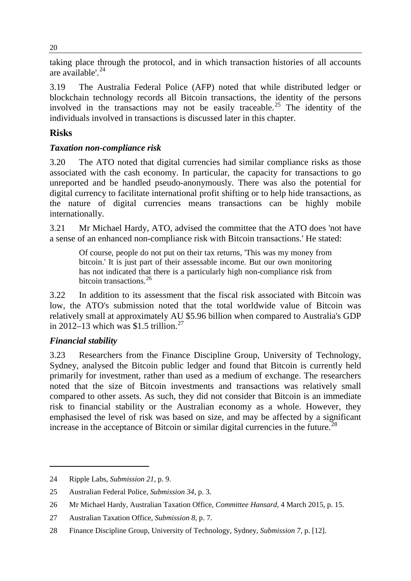taking place through the protocol, and in which transaction histories of all accounts are available'.<sup>[24](#page-5-0)</sup>

3.19 The Australia Federal Police (AFP) noted that while distributed ledger or blockchain technology records all Bitcoin transactions, the identity of the persons involved in the transactions may not be easily traceable.<sup>[25](#page-5-1)</sup> The identity of the individuals involved in transactions is discussed later in this chapter.

# **Risks**

# *Taxation non-compliance risk*

3.20 The ATO noted that digital currencies had similar compliance risks as those associated with the cash economy. In particular, the capacity for transactions to go unreported and be handled pseudo-anonymously. There was also the potential for digital currency to facilitate international profit shifting or to help hide transactions, as the nature of digital currencies means transactions can be highly mobile internationally.

3.21 Mr Michael Hardy, ATO, advised the committee that the ATO does 'not have a sense of an enhanced non-compliance risk with Bitcoin transactions.' He stated:

Of course, people do not put on their tax returns, 'This was my money from bitcoin.' It is just part of their assessable income. But our own monitoring has not indicated that there is a particularly high non-compliance risk from bitcoin transactions.<sup>[26](#page-5-2)</sup>

3.22 In addition to its assessment that the fiscal risk associated with Bitcoin was low, the ATO's submission noted that the total worldwide value of Bitcoin was relatively small at approximately AU \$5.96 billion when compared to Australia's GDP in 2012–13 which was \$1.5 trillion.<sup>[27](#page-5-3)</sup>

# *Financial stability*

-

3.23 Researchers from the Finance Discipline Group, University of Technology, Sydney, analysed the Bitcoin public ledger and found that Bitcoin is currently held primarily for investment, rather than used as a medium of exchange. The researchers noted that the size of Bitcoin investments and transactions was relatively small compared to other assets. As such, they did not consider that Bitcoin is an immediate risk to financial stability or the Australian economy as a whole. However, they emphasised the level of risk was based on size, and may be affected by a significant increase in the acceptance of Bitcoin or similar digital currencies in the future.<sup>[28](#page-5-4)</sup>

20

<span id="page-5-0"></span><sup>24</sup> Ripple Labs, *Submission 21*, p. 9.

<span id="page-5-1"></span><sup>25</sup> Australian Federal Police, *Submission 34*, p. 3.

<span id="page-5-2"></span><sup>26</sup> Mr Michael Hardy, Australian Taxation Office, *Committee Hansard*, 4 March 2015, p. 15.

<span id="page-5-3"></span><sup>27</sup> Australian Taxation Office, *Submission 8*, p. 7.

<span id="page-5-4"></span><sup>28</sup> Finance Discipline Group, University of Technology, Sydney, *Submission 7*, p. [12].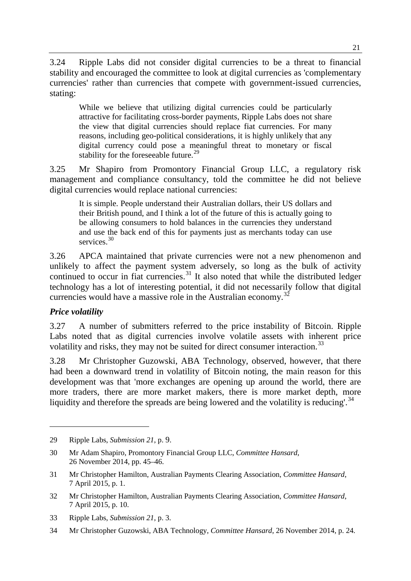3.24 Ripple Labs did not consider digital currencies to be a threat to financial stability and encouraged the committee to look at digital currencies as 'complementary currencies' rather than currencies that compete with government-issued currencies, stating:

While we believe that utilizing digital currencies could be particularly attractive for facilitating cross-border payments, Ripple Labs does not share the view that digital currencies should replace fiat currencies. For many reasons, including geo-political considerations, it is highly unlikely that any digital currency could pose a meaningful threat to monetary or fiscal stability for the foreseeable future.<sup>[29](#page-6-0)</sup>

3.25 Mr Shapiro from Promontory Financial Group LLC, a regulatory risk management and compliance consultancy, told the committee he did not believe digital currencies would replace national currencies:

It is simple. People understand their Australian dollars, their US dollars and their British pound, and I think a lot of the future of this is actually going to be allowing consumers to hold balances in the currencies they understand and use the back end of this for payments just as merchants today can use services.<sup>[30](#page-6-1)</sup>

3.26 APCA maintained that private currencies were not a new phenomenon and unlikely to affect the payment system adversely, so long as the bulk of activity continued to occur in fiat currencies.<sup>[31](#page-6-2)</sup> It also noted that while the distributed ledger technology has a lot of interesting potential, it did not necessarily follow that digital currencies would have a massive role in the Australian economy.<sup>[32](#page-6-3)</sup>

## *Price volatility*

-

3.27 A number of submitters referred to the price instability of Bitcoin. Ripple Labs noted that as digital currencies involve volatile assets with inherent price volatility and risks, they may not be suited for direct consumer interaction.<sup>[33](#page-6-4)</sup>

3.28 Mr Christopher Guzowski, ABA Technology, observed, however, that there had been a downward trend in volatility of Bitcoin noting, the main reason for this development was that 'more exchanges are opening up around the world, there are more traders, there are more market makers, there is more market depth, more liquidity and therefore the spreads are being lowered and the volatility is reducing'.<sup>[34](#page-6-5)</sup>

<span id="page-6-0"></span><sup>29</sup> Ripple Labs, *Submission 21*, p. 9.

<span id="page-6-1"></span><sup>30</sup> Mr Adam Shapiro, Promontory Financial Group LLC, *Committee Hansard*, 26 November 2014, pp. 45–46.

<span id="page-6-2"></span><sup>31</sup> Mr Christopher Hamilton, Australian Payments Clearing Association, *Committee Hansard*, 7 April 2015, p. 1.

<span id="page-6-3"></span><sup>32</sup> Mr Christopher Hamilton, Australian Payments Clearing Association, *Committee Hansard*, 7 April 2015, p. 10.

<span id="page-6-4"></span><sup>33</sup> Ripple Labs, *Submission 21*, p. 3.

<span id="page-6-5"></span><sup>34</sup> Mr Christopher Guzowski, ABA Technology, *Committee Hansard*, 26 November 2014, p. 24.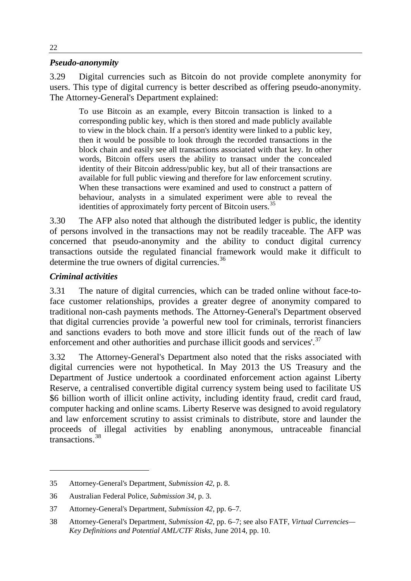#### *Pseudo-anonymity*

3.29 Digital currencies such as Bitcoin do not provide complete anonymity for users. This type of digital currency is better described as offering pseudo-anonymity. The Attorney-General's Department explained:

To use Bitcoin as an example, every Bitcoin transaction is linked to a corresponding public key, which is then stored and made publicly available to view in the block chain. If a person's identity were linked to a public key, then it would be possible to look through the recorded transactions in the block chain and easily see all transactions associated with that key. In other words, Bitcoin offers users the ability to transact under the concealed identity of their Bitcoin address/public key, but all of their transactions are available for full public viewing and therefore for law enforcement scrutiny. When these transactions were examined and used to construct a pattern of behaviour, analysts in a simulated experiment were able to reveal the identities of approximately forty percent of Bitcoin users.<sup>[35](#page-7-0)</sup>

3.30 The AFP also noted that although the distributed ledger is public, the identity of persons involved in the transactions may not be readily traceable. The AFP was concerned that pseudo-anonymity and the ability to conduct digital currency transactions outside the regulated financial framework would make it difficult to determine the true owners of digital currencies.<sup>[36](#page-7-1)</sup>

## *Criminal activities*

-

3.31 The nature of digital currencies, which can be traded online without face-toface customer relationships, provides a greater degree of anonymity compared to traditional non-cash payments methods. The Attorney-General's Department observed that digital currencies provide 'a powerful new tool for criminals, terrorist financiers and sanctions evaders to both move and store illicit funds out of the reach of law enforcement and other authorities and purchase illicit goods and services'.<sup>[37](#page-7-2)</sup>

3.32 The Attorney-General's Department also noted that the risks associated with digital currencies were not hypothetical. In May 2013 the US Treasury and the Department of Justice undertook a coordinated enforcement action against Liberty Reserve, a centralised convertible digital currency system being used to facilitate US \$6 billion worth of illicit online activity, including identity fraud, credit card fraud, computer hacking and online scams. Liberty Reserve was designed to avoid regulatory and law enforcement scrutiny to assist criminals to distribute, store and launder the proceeds of illegal activities by enabling anonymous, untraceable financial transactions.<sup>[38](#page-7-3)</sup>

<span id="page-7-0"></span><sup>35</sup> Attorney-General's Department, *Submission 42*, p. 8.

<span id="page-7-1"></span><sup>36</sup> Australian Federal Police, *Submission 34*, p. 3.

<span id="page-7-2"></span><sup>37</sup> Attorney-General's Department, *Submission 42*, pp. 6–7.

<span id="page-7-3"></span><sup>38</sup> Attorney-General's Department, *Submission 42*, pp. 6–7; see also FATF, *Virtual Currencies— Key Definitions and Potential AML/CTF Risks*, June 2014, pp. 10.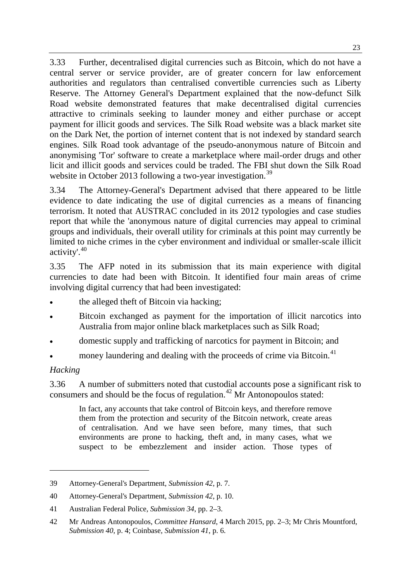3.33 Further, decentralised digital currencies such as Bitcoin, which do not have a central server or service provider, are of greater concern for law enforcement authorities and regulators than centralised convertible currencies such as Liberty Reserve. The Attorney General's Department explained that the now-defunct Silk Road website demonstrated features that make decentralised digital currencies attractive to criminals seeking to launder money and either purchase or accept payment for illicit goods and services. The Silk Road website was a black market site on the Dark Net, the portion of internet content that is not indexed by standard search engines. Silk Road took advantage of the pseudo-anonymous nature of Bitcoin and anonymising 'Tor' software to create a marketplace where mail-order drugs and other licit and illicit goods and services could be traded. The FBI shut down the Silk Road website in October 2013 following a two-year investigation.<sup>[39](#page-8-0)</sup>

3.34 The Attorney-General's Department advised that there appeared to be little evidence to date indicating the use of digital currencies as a means of financing terrorism. It noted that AUSTRAC concluded in its 2012 typologies and case studies report that while the 'anonymous nature of digital currencies may appeal to criminal groups and individuals, their overall utility for criminals at this point may currently be limited to niche crimes in the cyber environment and individual or smaller-scale illicit activity'. [40](#page-8-1)

3.35 The AFP noted in its submission that its main experience with digital currencies to date had been with Bitcoin. It identified four main areas of crime involving digital currency that had been investigated:

- the alleged theft of Bitcoin via hacking;
- Bitcoin exchanged as payment for the importation of illicit narcotics into Australia from major online black marketplaces such as Silk Road;
- domestic supply and trafficking of narcotics for payment in Bitcoin; and
- money laundering and dealing with the proceeds of crime via Bitcoin.<sup>[41](#page-8-2)</sup>

## *Hacking*

-

3.36 A number of submitters noted that custodial accounts pose a significant risk to consumers and should be the focus of regulation.<sup>[42](#page-8-3)</sup> Mr Antonopoulos stated:

In fact, any accounts that take control of Bitcoin keys, and therefore remove them from the protection and security of the Bitcoin network, create areas of centralisation. And we have seen before, many times, that such environments are prone to hacking, theft and, in many cases, what we suspect to be embezzlement and insider action. Those types of

<span id="page-8-0"></span><sup>39</sup> Attorney-General's Department, *Submission 42*, p. 7.

<span id="page-8-1"></span><sup>40</sup> Attorney-General's Department, *Submission 42*, p. 10.

<span id="page-8-2"></span><sup>41</sup> Australian Federal Police, *Submission 34*, pp. 2–3.

<span id="page-8-3"></span><sup>42</sup> Mr Andreas Antonopoulos, *Committee Hansard*, 4 March 2015, pp. 2–3; Mr Chris Mountford, *Submission 40*, p. 4; Coinbase, *Submission 41*, p. 6.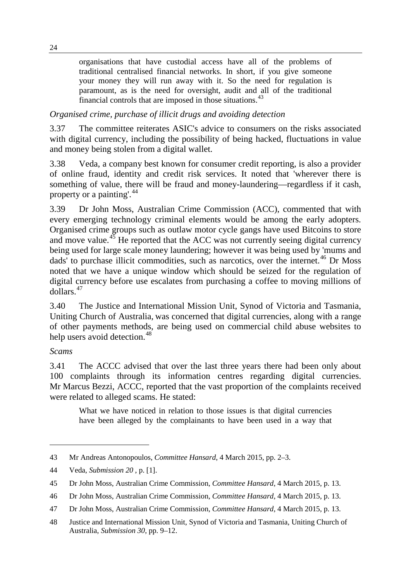organisations that have custodial access have all of the problems of traditional centralised financial networks. In short, if you give someone your money they will run away with it. So the need for regulation is paramount, as is the need for oversight, audit and all of the traditional financial controls that are imposed in those situations.<sup>[43](#page-9-0)</sup>

*Organised crime, purchase of illicit drugs and avoiding detection*

3.37 The committee reiterates ASIC's advice to consumers on the risks associated with digital currency, including the possibility of being hacked, fluctuations in value and money being stolen from a digital wallet.

3.38 Veda, a company best known for consumer credit reporting, is also a provider of online fraud, identity and credit risk services. It noted that 'wherever there is something of value, there will be fraud and money-laundering—regardless if it cash, property or a painting'.<sup>[44](#page-9-1)</sup>

3.39 Dr John Moss, Australian Crime Commission (ACC), commented that with every emerging technology criminal elements would be among the early adopters. Organised crime groups such as outlaw motor cycle gangs have used Bitcoins to store and move value. $45$  He reported that the ACC was not currently seeing digital currency being used for large scale money laundering; however it was being used by 'mums and dads' to purchase illicit commodities, such as narcotics, over the internet.<sup>[46](#page-9-3)</sup> Dr Moss noted that we have a unique window which should be seized for the regulation of digital currency before use escalates from purchasing a coffee to moving millions of dollars.[47](#page-9-4)

3.40 The Justice and International Mission Unit, Synod of Victoria and Tasmania, Uniting Church of Australia, was concerned that digital currencies, along with a range of other payments methods, are being used on commercial child abuse websites to help users avoid detection.<sup>[48](#page-9-5)</sup>

# *Scams*

-

3.41 The ACCC advised that over the last three years there had been only about 100 complaints through its information centres regarding digital currencies. Mr Marcus Bezzi, ACCC, reported that the vast proportion of the complaints received were related to alleged scams. He stated:

What we have noticed in relation to those issues is that digital currencies have been alleged by the complainants to have been used in a way that

<span id="page-9-0"></span><sup>43</sup> Mr Andreas Antonopoulos, *Committee Hansard*, 4 March 2015, pp. 2–3.

<span id="page-9-1"></span><sup>44</sup> Veda, *Submission 20* , p. [1].

<span id="page-9-2"></span><sup>45</sup> Dr John Moss, Australian Crime Commission, *Committee Hansard*, 4 March 2015, p. 13.

<span id="page-9-3"></span><sup>46</sup> Dr John Moss, Australian Crime Commission, *Committee Hansard*, 4 March 2015, p. 13.

<span id="page-9-4"></span><sup>47</sup> Dr John Moss, Australian Crime Commission, *Committee Hansard*, 4 March 2015, p. 13.

<span id="page-9-5"></span><sup>48</sup> Justice and International Mission Unit, Synod of Victoria and Tasmania, Uniting Church of Australia, *Submission 30*, pp. 9–12.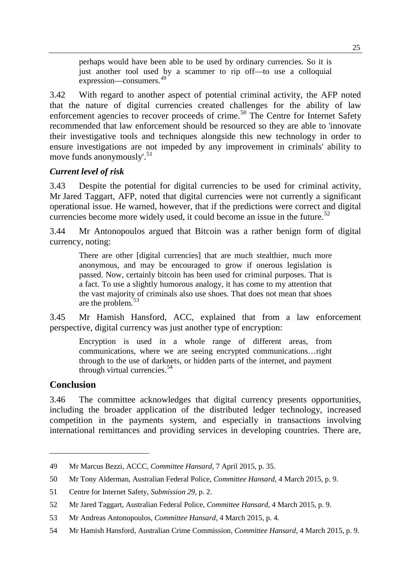perhaps would have been able to be used by ordinary currencies. So it is just another tool used by a scammer to rip off—to use a colloquial expression—consumers.[49](#page-10-0)

3.42 With regard to another aspect of potential criminal activity, the AFP noted that the nature of digital currencies created challenges for the ability of law enforcement agencies to recover proceeds of crime.<sup>[50](#page-10-1)</sup> The Centre for Internet Safety recommended that law enforcement should be resourced so they are able to 'innovate their investigative tools and techniques alongside this new technology in order to ensure investigations are not impeded by any improvement in criminals' ability to move funds anonymously'.<sup>[51](#page-10-2)</sup>

#### *Current level of risk*

3.43 Despite the potential for digital currencies to be used for criminal activity, Mr Jared Taggart, AFP, noted that digital currencies were not currently a significant operational issue. He warned, however, that if the predictions were correct and digital currencies become more widely used, it could become an issue in the future.<sup>[52](#page-10-3)</sup>

3.44 Mr Antonopoulos argued that Bitcoin was a rather benign form of digital currency, noting:

There are other [digital currencies] that are much stealthier, much more anonymous, and may be encouraged to grow if onerous legislation is passed. Now, certainly bitcoin has been used for criminal purposes. That is a fact. To use a slightly humorous analogy, it has come to my attention that the vast majority of criminals also use shoes. That does not mean that shoes are the problem.<sup>[53](#page-10-4)</sup>

3.45 Mr Hamish Hansford, ACC, explained that from a law enforcement perspective, digital currency was just another type of encryption:

Encryption is used in a whole range of different areas, from communications, where we are seeing encrypted communications…right through to the use of darknets, or hidden parts of the internet, and payment through virtual currencies. $54$ 

#### **Conclusion**

-

3.46 The committee acknowledges that digital currency presents opportunities, including the broader application of the distributed ledger technology, increased competition in the payments system, and especially in transactions involving international remittances and providing services in developing countries. There are,

<span id="page-10-0"></span><sup>49</sup> Mr Marcus Bezzi, ACCC, *Committee Hansard*, 7 April 2015, p. 35.

<span id="page-10-1"></span><sup>50</sup> Mr Tony Alderman, Australian Federal Police, *Committee Hansard*, 4 March 2015, p. 9.

<span id="page-10-2"></span><sup>51</sup> Centre for Internet Safety, *Submission 29*, p. 2.

<span id="page-10-3"></span><sup>52</sup> Mr Jared Taggart, Australian Federal Police, *Committee Hansard*, 4 March 2015, p. 9.

<span id="page-10-4"></span><sup>53</sup> Mr Andreas Antonopoulos, *Committee Hansard*, 4 March 2015, p. 4.

<span id="page-10-5"></span><sup>54</sup> Mr Hamish Hansford, Australian Crime Commission, *Committee Hansard*, 4 March 2015, p. 9.